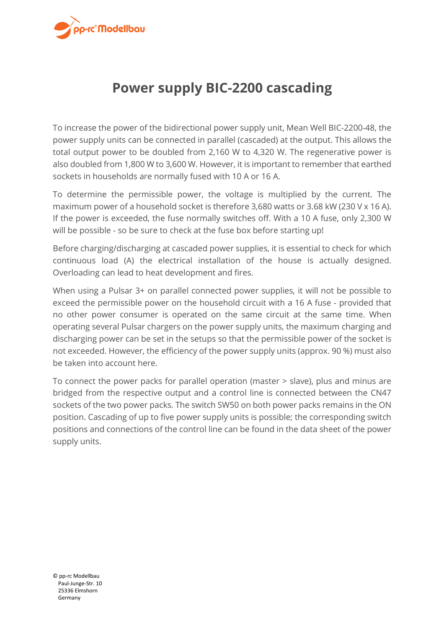

## **Power supply BIC-2200 cascading**

To increase the power of the bidirectional power supply unit, Mean Well BIC-2200-48, the power supply units can be connected in parallel (cascaded) at the output. This allows the total output power to be doubled from 2,160 W to 4,320 W. The regenerative power is also doubled from 1,800 W to 3,600 W. However, it is important to remember that earthed sockets in households are normally fused with 10 A or 16 A.

To determine the permissible power, the voltage is multiplied by the current. The maximum power of a household socket is therefore 3,680 watts or 3.68 kW (230 V x 16 A). If the power is exceeded, the fuse normally switches off. With a 10 A fuse, only 2,300 W will be possible - so be sure to check at the fuse box before starting up!

Before charging/discharging at cascaded power supplies, it is essential to check for which continuous load (A) the electrical installation of the house is actually designed. Overloading can lead to heat development and fires.

When using a Pulsar 3+ on parallel connected power supplies, it will not be possible to exceed the permissible power on the household circuit with a 16 A fuse - provided that no other power consumer is operated on the same circuit at the same time. When operating several Pulsar chargers on the power supply units, the maximum charging and discharging power can be set in the setups so that the permissible power of the socket is not exceeded. However, the efficiency of the power supply units (approx. 90 %) must also be taken into account here.

To connect the power packs for parallel operation (master > slave), plus and minus are bridged from the respective output and a control line is connected between the CN47 sockets of the two power packs. The switch SW50 on both power packs remains in the ON position. Cascading of up to five power supply units is possible; the corresponding switch positions and connections of the control line can be found in the data sheet of the power supply units.